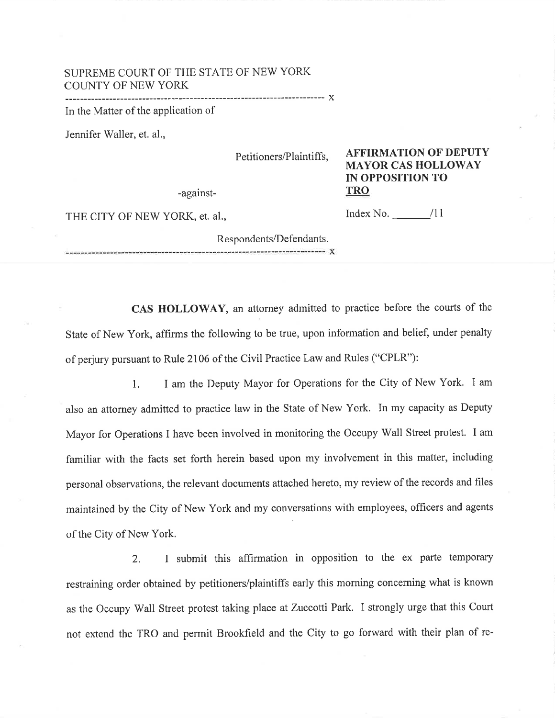## SUPREME COURT OF THE STATE OF NEW YORK ::^ll::Ì:yl?Y ...........x In the Matter of the application of

Jennifer Waller, et. al.,

Petitioners/Plaintiffs,

-against-

AFFIRMATION OF DEPUTY MAYOR CAS HOLLOWAY IN OPPOSITION TO TRO

THE CITY OF NEW YORK, et. al.,

Index No.  $\frac{11}{2}$ 

Respondents/Defendants. ----------------------- X

CAS HOLLOWAY, an attorney admitted to practice before the courts of the State of New York, affirms the following to be true, upon information and belief, under penalty of perjury pursuant to Rule 2106 of the Civil Practice Law and Rules ("CPLR"):

l. I am the Deputy Mayor for Operations for the City of New York. I am also an attorney admitted to practice law in the State of New York. In my capacity as Deputy Mayor for Operations I have been involved in monitoring the Occupy Wall Street protest. I am familiar with the facts set forth herein based upon my involvement in this matter, including personal observations, the relevant documents attached hereto, my review of the records and files maintained by the City of New York and my conversations with employees, officers and agents of the City of New York.

2. I submit this affirmation in opposition to the ex parte temporary restraining order obtained by petitioners/plaintiffs early this morning concerning what is known as the Occupy Wall Street protest taking place at Zuccotti Park. I strongly urge that this Court not extend the TRO and permit Brookfield and the City to go forward with their plan of re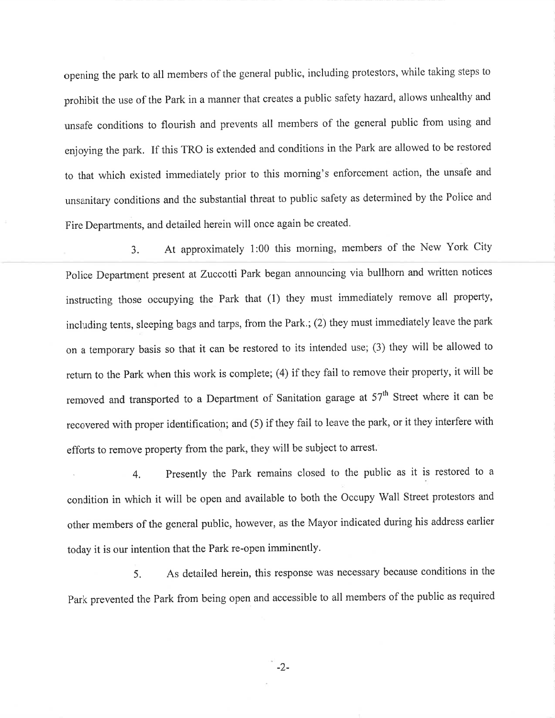opening the park to all members of the general public, including protestors, while taking steps to prohibit the use of the park in a manner that creates a public safety hazard, allows unhealthy and unsafe conditions to flourish and prevents all members of the general public from using and enjoying the park. If this TRO is extended and conditions in the Park are allowed to be restored to that which existed immediately prior to this morning's enforcement action, the unsafe and unsanitary conditions and the substantial threat to public safety as determined by the Police and Fire Departments, and detailed herein will once again be created.

3. At approximately 1:00 this morning, members of the New York City police Department present at Zuccotti Park began announcing via bullhom and written notices instructing those occupying the Park that (1) they must immediately remove all property, including tents, sleeping bags and tarps, from the Park.; (2) they must immediately leave the park on a temporary basis so that it can be restored to its intended use; (3) they will be allowed to return to the Park when this work is complete; (4) if they fail to remove their property, it will be removed and transported to a Department of Sanitation garage at 57<sup>th</sup> Street where it can be recovered with proper identification; and (5) if they fail to leave the park, or it they interfere with efforts to remove property from the park, they will be subject to arrest.

. 4. Presently the Park remains closed to the public as it is restored to a condition in which it will be open and available to both the Occupy Wall Street protestors and other members of the general public, however, as the Mayor indicated during his address earlier today it is our intention that the Park re-open imminently.

5. As detailed herein, this response was necessary because conditions in the park prevented the park from being open and accessible to all members of the public as required

-2-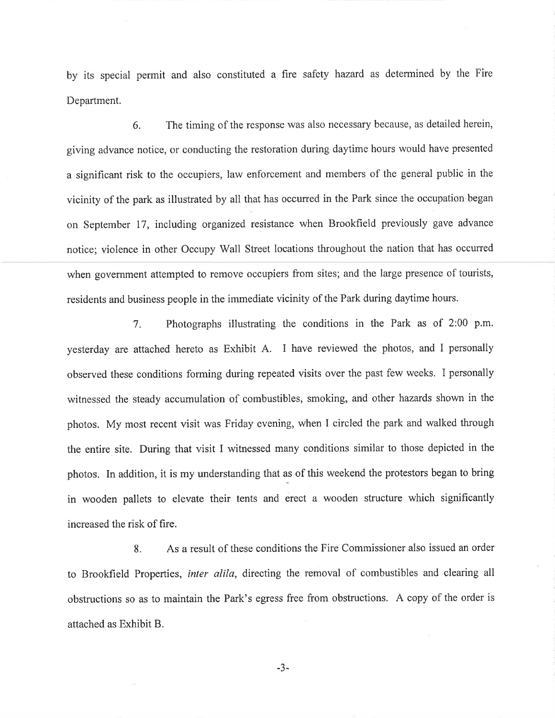by its special permit and also constituted a fire safety hazard as determined by the Fire Department.

6. The timing of the response was also necessary because, as detailed herein, giving advance notice, or conducting the restoration during daytime hours would have presented a significant risk to the occupiers, law enforcement and members of the general public in the vicinity of the park as illustrated by all that has occurred in the Park since the occupation began on September 17, including organized resistance when Brookfield previously gave advance notice; violence in other Occupy Wall Street locations throughout the nation that has occurred when government attempted to remove occupiers from sites; and the large presence of tourists, residents and business people in the immediate vicinity of the Park during daytime hours.

7. Photographs illustrating the conditions in the Park as of 2:00 p.m. yesterday are attached hereto as Exhibit A. I have reviewed the photos, and I personally observed these conditions forming during repeated visits over the past few weeks. I personally witnessed the steady accumulation of combustibles, smoking, and other hazards shown in the photos. My most recent visit was Friday evening, when I circled the park and walked through the entire site. During that visit I witnessed many conditions similar to those depicted in the photos. In addition, it is my understanding that as of this weekend the protestors began to bring in wooden pallets to elevate their tents and erect a wooden structure which significantly increased the risk of fire.

8. As a result of these conditions the Fire Commissioner also issued an order to Brookfield Properties, inter alila, directing the removal of combustibles and clearing all obstructions so as to maintain the Park's egress free from obstructions. A copy of the order is attached as Exhibit B.

-3-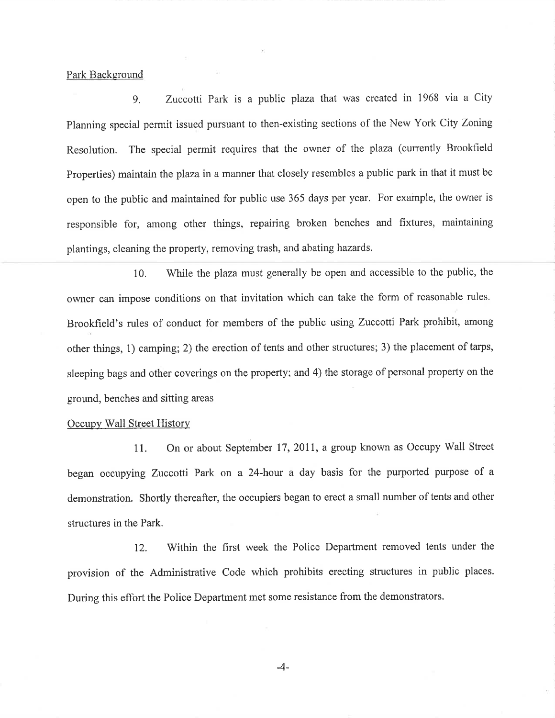Park Background

9. Zuccotti Park is a public plaza that was created in 1968 via a City Planning special permit issued pursuant to then-existing sections of the New York City Zoning Resolution. The special permit requires that the owner of the plaza (currently Brookfield Properties) maintain the plaza in a manner that closely resembles a public park in that it must be open to the public and maintained for public use 365 days per year. For example, the owner is responsible for, among other things, repairing broken benches and fixtures, maintaining plantings, cleaning the property, removing trash, and abating hazards.

10. While the plaza must generally be open and accessible to the public, the owner can impose conditions on that invitation which can take the form of reasonable rules. Brookfield's rules of conduct for members of the public using Zuccotti Park prohibit, among other things, 1) camping; 2) the erection of tents and other structures; 3) the placement of tarps, sleeping bags and other coverings on the property; and 4) the storage of personal property on the ground, benches and sitting areas

## Occupy Wall Street History

11. On or about September 17,2011, a group known as Occupy Wall Street began occupying Zuccotti Park on a 24-hour a day basis for the purported purpose of a demonstration. Shortly thereafter, the occupiers began to erect a small number of tents and other structures in the Park.

12. Within the first week the Police Department removed tents under the provision of the Administrative Code which prohibits erecting structures in public places. During this effort the Police Department met some resistance from the demonstrators.

-4-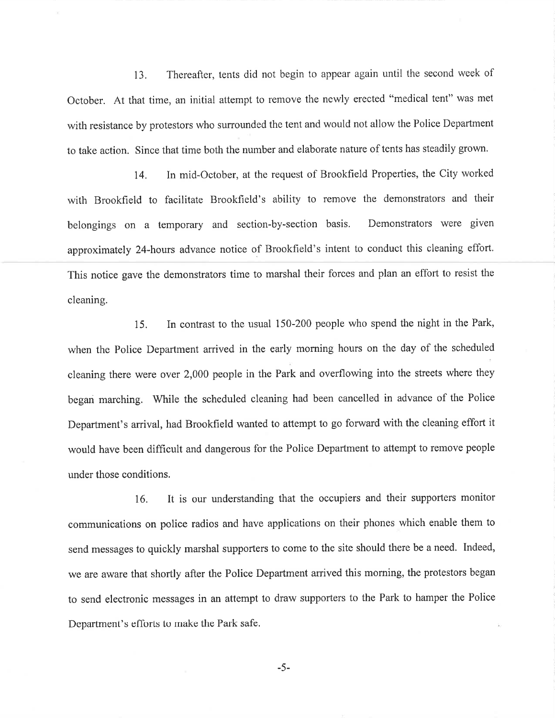13. Thereafter, tents did not begin to appear again until the second week of October. At that time, an initial attempt to remove the newly erected "medical tent" was met with resistance by protestors who surrounded the tent and would not allow the Police Department to take action. Since that time both the number and elaborate nature of tents has steadily grown.

14. In mid-October, at the request of Brookfield Properties, the City worked with Brookfield to facilitate Brookfield's ability to remove the demonstrators and their belongings on a temporary and section-by-section basis, Demonstrators were given approximately 24-hours advance notice of Brookfield's intent to conduct this cleaning effort. This notice gave the demonstrators time to marshal their forces and plan an effort to resist the cleaning.

15. In contrast to the usual 150-200 people who spend the night in the Park, when the Police Department arrived in the early morning hours on the day of the scheduled cleaning there were over 2,000 people in the Park and overflowing into the streets where they began marching. While the scheduled cleaning had been cancelled in advance of the Police Department's arrival, had Brookfield wanted to attempt to go forward with the cleaning effort it would have been difficult and dangerous for the Police Department to attempt to remove people under those conditions.

16. It is our understanding that the occupiers and their supporters monitor communications on police radios and have applications on their phones which enable them to send messages to quickly marshal supporters to come to the site should there be a need. Indeed, we are aware that shortly after the Police Department arrived this morning, the protestors began to send electronic messages in an attempt to draw supporters to the Park to hamper the Police Department's efforts to make the Park safe.

-5-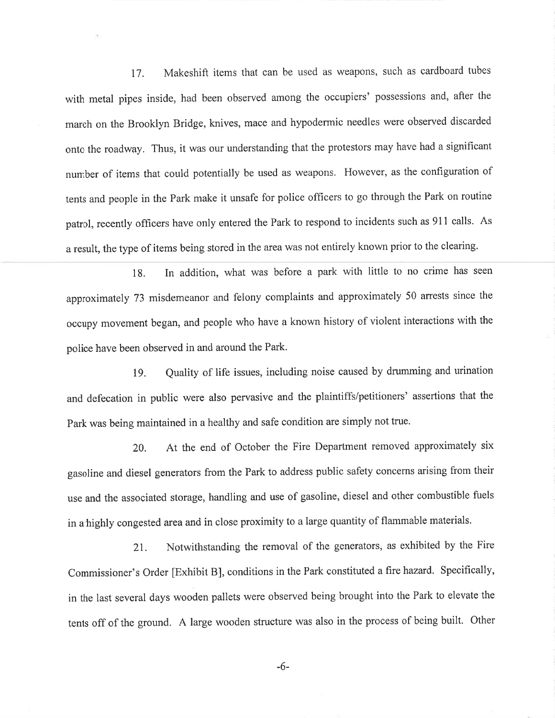17, Makeshift items that can be used as weapons, such as cardboard tubes with metal pipes inside, had been observed among the occupiers' possessions and, after the march on the Brooklyn Bridge, knives, mace and hypodermic needles were observed discarded onto the roadway. Thus, it was our understanding that the protestors may have had a significant number of items that could potentially be used as weapons. However, as the configuration of tents and people in the Park make it unsafe for police officers to go through the Park on routine patrol, recently officers have only entered the Park to respond to incidents such as 911 calls. As a result, the type of items being stored in the area was not entirely known prior to the clearing.

18. In addition, what was before a park with little to no crime has seen approximately 73 misdemeanor and felony complaints and approximately 50 arrests since the occupy movement began, and people who have a known history of violent interactions with the police have been observed in and around the Park.

ß. Quality of life issues, including noise caused by drumming and urination and defecation in public were also pervasive and the plaintiffs/petitioners' assertions that the Park was being maintained in a healthy and safe condition are simply not true.

20. At the end of October the Fire Department removed approximately six gasoline and diesel generators from the Park to address public safety concerns arising from their use and the associated storage, handling and use of gasoline, diesel and other combustible fuels in a highly congested area and in close proximity to a large quantity of flammable materials.

21. Notwithstanding the removal of the generators, as exhibited by the Fire Commissioner's Order [Exhibit B], conditions in the Park constituted a fire hazard. Specifically, in the last several days wooden pallets were observed being brought into the Park to elevate the tents off of the ground. A large wooden structure was also in the process of being built. Other

-6-